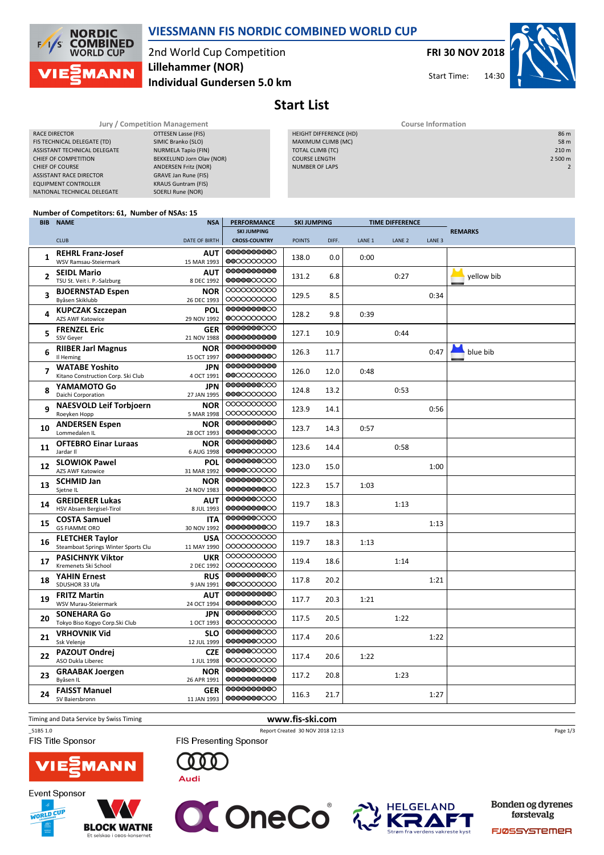

## VIESSMANN FIS NORDIC COMBINED WORLD CUP

2nd World Cup Competition Individual Gundersen 5.0 km Lillehammer (NOR)

FRI 30 NOV 2018

Start Time:



Start List

| <b>Jury / Competition Management</b> |                             |  | <b>Course Information</b> |                |  |  |  |
|--------------------------------------|-----------------------------|--|---------------------------|----------------|--|--|--|
| RACE DIRECTOR                        | OTTESEN Lasse (FIS)         |  | HEIGHT DIFFERENCE (HD)    | 86 m           |  |  |  |
| FIS TECHNICAL DELEGATE (TD)          | SIMIC Branko (SLO)          |  | MAXIMUM CLIMB (MC)        | 58 m           |  |  |  |
| ASSISTANT TECHNICAL DELEGATE         | NURMELA Tapio (FIN)         |  | TOTAL CLIMB (TC)          | 210 m          |  |  |  |
| CHIEF OF COMPETITION                 | BEKKELUND Jorn Olav (NOR)   |  | <b>COURSE LENGTH</b>      | 2 500 m        |  |  |  |
| <b>CHIEF OF COURSE</b>               | <b>ANDERSEN Fritz (NOR)</b> |  | <b>NUMBER OF LAPS</b>     | $\overline{2}$ |  |  |  |
| <b>ASSISTANT RACE DIRECTOR</b>       | GRAVE Jan Rune (FIS)        |  |                           |                |  |  |  |
| <b>EQUIPMENT CONTROLLER</b>          | <b>KRAUS Guntram (FIS)</b>  |  |                           |                |  |  |  |
| NATIONAL TECHNICAL DELEGATE          | SOERLI Rune (NOR)           |  |                           |                |  |  |  |
|                                      |                             |  |                           |                |  |  |  |

## Number of Competitors: 61, Number of NSAs: 15

|              | <b>BIB NAME</b>                                               | <b>NSA</b>                | <b>PERFORMANCE</b>       | <b>SKI JUMPING</b><br><b>TIME DIFFERENCE</b> |       |                   |                   |                   |                |
|--------------|---------------------------------------------------------------|---------------------------|--------------------------|----------------------------------------------|-------|-------------------|-------------------|-------------------|----------------|
|              |                                                               |                           | <b>SKI JUMPING</b>       |                                              |       |                   |                   |                   | <b>REMARKS</b> |
|              | <b>CLUB</b>                                                   | DATE OF BIRTH             | <b>CROSS-COUNTRY</b>     | <b>POINTS</b>                                | DIFF. | LANE <sub>1</sub> | LANE <sub>2</sub> | LANE <sub>3</sub> |                |
| 1            | <b>REHRL Franz-Josef</b><br><b>WSV Ramsau-Steiermark</b>      | AUT<br>15 MAR 1993        | 0000000000<br>0000000000 | 138.0                                        | 0.0   | 0:00              |                   |                   |                |
| $\mathbf{2}$ | <b>SEIDL Mario</b><br>TSU St. Veit i. P.-Salzburg             | <b>AUT</b><br>8 DEC 1992  | 0000000000<br>0000000000 | 131.2                                        | 6.8   |                   | 0:27              |                   | yellow bib     |
| 3            | <b>BJOERNSTAD Espen</b><br>Byåsen Skiklubb                    | <b>NOR</b><br>26 DEC 1993 | 0000000000<br>0000000000 | 129.5                                        | 8.5   |                   |                   | 0:34              |                |
| 4            | <b>KUPCZAK Szczepan</b><br><b>AZS AWF Katowice</b>            | <b>POL</b><br>29 NOV 1992 | 0000000000<br>0000000000 | 128.2                                        | 9.8   | 0:39              |                   |                   |                |
| 5            | <b>FRENZEL Eric</b><br>SSV Geyer                              | <b>GER</b><br>21 NOV 1988 | 0000000000<br>0000000000 | 127.1                                        | 10.9  |                   | 0:44              |                   |                |
| 6            | <b>RIIBER Jarl Magnus</b><br>Il Heming                        | <b>NOR</b><br>15 OCT 1997 | 0000000000<br>0000000000 | 126.3                                        | 11.7  |                   |                   | 0:47              | blue bib       |
| 7            | <b>WATABE Yoshito</b><br>Kitano Construction Corp. Ski Club   | <b>JPN</b><br>4 OCT 1991  | 0000000000<br>0000000000 | 126.0                                        | 12.0  | 0:48              |                   |                   |                |
| 8            | YAMAMOTO Go<br>Daichi Corporation                             | <b>JPN</b><br>27 JAN 1995 | 0000000000<br>0000000000 | 124.8                                        | 13.2  |                   | 0:53              |                   |                |
| q            | <b>NAESVOLD Leif Torbjoern</b><br>Roeyken Hopp                | <b>NOR</b><br>5 MAR 1998  | 0000000000<br>0000000000 | 123.9                                        | 14.1  |                   |                   | 0:56              |                |
| 10           | <b>ANDERSEN Espen</b><br>Lommedalen IL                        | <b>NOR</b><br>28 OCT 1993 | 0000000000<br>0000000000 | 123.7                                        | 14.3  | 0:57              |                   |                   |                |
| 11           | <b>OFTEBRO Einar Luraas</b><br>Jardar II                      | <b>NOR</b><br>6 AUG 1998  | 0000000000<br>0000000000 | 123.6                                        | 14.4  |                   | 0:58              |                   |                |
| 12           | <b>SLOWIOK Pawel</b><br><b>AZS AWF Katowice</b>               | POL<br>31 MAR 1992        | 0000000000<br>0000000000 | 123.0                                        | 15.0  |                   |                   | 1:00              |                |
| 13           | <b>SCHMID Jan</b><br>Sjetne IL                                | <b>NOR</b><br>24 NOV 1983 | 0000000000<br>0000000000 | 122.3                                        | 15.7  | 1:03              |                   |                   |                |
| 14           | <b>GREIDERER Lukas</b><br>HSV Absam Bergisel-Tirol            | AUT<br>8 JUL 1993         | 0000000000<br>0000000000 | 119.7                                        | 18.3  |                   | 1:13              |                   |                |
| 15           | <b>COSTA Samuel</b><br><b>GS FIAMME ORO</b>                   | <b>ITA</b><br>30 NOV 1992 | 0000000000<br>0000000000 | 119.7                                        | 18.3  |                   |                   | 1:13              |                |
| 16           | <b>FLETCHER Taylor</b><br>Steamboat Springs Winter Sports Clu | <b>USA</b><br>11 MAY 1990 | 0000000000<br>0000000000 | 119.7                                        | 18.3  | 1:13              |                   |                   |                |
| 17           | <b>PASICHNYK Viktor</b><br>Kremenets Ski School               | <b>UKR</b><br>2 DEC 1992  | 0000000000<br>0000000000 | 119.4                                        | 18.6  |                   | 1:14              |                   |                |
| 18           | <b>YAHIN Ernest</b><br>SDUSHOR 33 Ufa                         | <b>RUS</b><br>9 JAN 1991  | 0000000000<br>0000000000 | 117.8                                        | 20.2  |                   |                   | 1:21              |                |
| 19           | <b>FRITZ Martin</b><br>WSV Murau-Steiermark                   | <b>AUT</b><br>24 OCT 1994 | 0000000000<br>0000000000 | 117.7                                        | 20.3  | 1:21              |                   |                   |                |
| 20           | <b>SONEHARA Go</b><br>Tokyo Biso Kogyo Corp.Ski Club          | <b>JPN</b><br>1 OCT 1993  | 0000000000<br>0000000000 | 117.5                                        | 20.5  |                   | 1:22              |                   |                |
| 21           | <b>VRHOVNIK Vid</b><br>Ssk Velenje                            | <b>SLO</b><br>12 JUL 1999 | 0000000000<br>0000000000 | 117.4                                        | 20.6  |                   |                   | 1:22              |                |
| 22           | <b>PAZOUT Ondrej</b><br>ASO Dukla Liberec                     | <b>CZE</b><br>1 JUL 1998  | 0000000000<br>0000000000 | 117.4                                        | 20.6  | 1:22              |                   |                   |                |
| 23           | <b>GRAABAK Joergen</b><br>Byåsen IL                           | <b>NOR</b><br>26 APR 1991 | 0000000000<br>0000000000 | 117.2                                        | 20.8  |                   | 1:23              |                   |                |
| 24           | <b>FAISST Manuel</b><br>SV Baiersbronn                        | <b>GER</b><br>11 JAN 1993 | 0000000000<br>0000000000 | 116.3                                        | 21.7  |                   |                   | 1:27              |                |

Timing and Data Service by Swiss Timing **www.fis-ski.com** 

**Event Sponsor** 

WORLD CUP

FIS Title Sponsor



\_51B5 1.0 Report Created 30 NOV 2018 12:13 FIS Presenting Sponsor

Page 1/3

 $\sqrt{15}$ **MANN** 

**BLOCK WATNE** 

Et selskap i OBOS-







Bonden og dyrenes førstevalg

FJØSSYSTEMER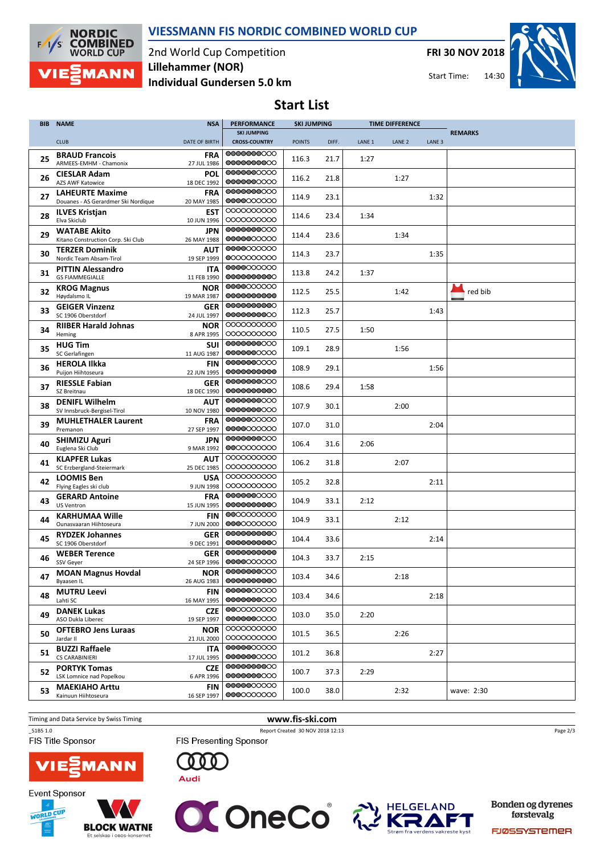

VIESSMANN FIS NORDIC COMBINED WORLD CUP

2nd World Cup Competition Individual Gundersen 5.0 km Lillehammer (NOR)

FRI 30 NOV 2018





Start List

| <b>BIB</b> | <b>NAME</b>                                      | <b>NSA</b>                | <b>PERFORMANCE</b>                 | <b>SKI JUMPING</b> |       |                   | <b>TIME DIFFERENCE</b> |                   |                |
|------------|--------------------------------------------------|---------------------------|------------------------------------|--------------------|-------|-------------------|------------------------|-------------------|----------------|
|            |                                                  |                           | <b>SKI JUMPING</b>                 |                    |       |                   |                        |                   | <b>REMARKS</b> |
|            | <b>CLUB</b>                                      | <b>DATE OF BIRTH</b>      | <b>CROSS-COUNTRY</b><br>0000000000 | <b>POINTS</b>      | DIFF. | LANE <sub>1</sub> | LANE <sub>2</sub>      | LANE <sub>3</sub> |                |
| 25         | <b>BRAUD Francois</b><br>ARMEES-EMHM - Chamonix  | <b>FRA</b><br>27 JUL 1986 | 0000000000                         | 116.3              | 21.7  | 1:27              |                        |                   |                |
|            | <b>CIESLAR Adam</b>                              | <b>POL</b>                | 0000000000                         |                    |       |                   |                        |                   |                |
| 26         | <b>AZS AWF Katowice</b>                          | 18 DEC 1992               | 0000000000                         | 116.2              | 21.8  |                   | 1:27                   |                   |                |
| 27         | <b>LAHEURTE Maxime</b>                           | <b>FRA</b>                | 0000000000<br>0000000000           | 114.9              | 23.1  |                   |                        | 1:32              |                |
|            | Douanes - AS Gerardmer Ski Nordique              | 20 MAY 1985<br><b>EST</b> | 0000000000                         |                    |       |                   |                        |                   |                |
| 28         | <b>ILVES Kristjan</b><br>Elva Skiclub            | 10 JUN 1996               | 0000000000                         | 114.6              | 23.4  | 1:34              |                        |                   |                |
| 29         | <b>WATABE Akito</b>                              | JPN                       | 0000000000                         | 114.4              | 23.6  |                   | 1:34                   |                   |                |
|            | Kitano Construction Corp. Ski Club               | 26 MAY 1988               | 0000000000<br>0000000000           |                    |       |                   |                        |                   |                |
| 30         | <b>TERZER Dominik</b><br>Nordic Team Absam-Tirol | AUT<br>19 SEP 1999        | 0000000000                         | 114.3              | 23.7  |                   |                        | 1:35              |                |
|            | <b>PITTIN Alessandro</b>                         | <b>ITA</b>                | 0000000000                         |                    |       |                   |                        |                   |                |
| 31         | <b>GS FIAMMEGIALLE</b>                           | 11 FEB 1990               | 0000000000                         | 113.8              | 24.2  | 1:37              |                        |                   |                |
| 32         | <b>KROG Magnus</b>                               | <b>NOR</b>                | 0000000000                         | 112.5              | 25.5  |                   | 1:42                   |                   | red bib        |
|            | Høydalsmo IL                                     | 19 MAR 1987               | 0000000000<br>0000000000           |                    |       |                   |                        |                   |                |
| 33         | <b>GEIGER Vinzenz</b><br>SC 1906 Oberstdorf      | <b>GER</b><br>24 JUL 1997 | 0000000000                         | 112.3              | 25.7  |                   |                        | 1:43              |                |
| 34         | <b>RIIBER Harald Johnas</b>                      | <b>NOR</b>                | 0000000000                         | 110.5              | 27.5  | 1:50              |                        |                   |                |
|            | Heming                                           | 8 APR 1995                | 0000000000                         |                    |       |                   |                        |                   |                |
| 35         | <b>HUG Tim</b><br>SC Gerlafingen                 | <b>SUI</b><br>11 AUG 1987 | 0000000000<br>0000000000           | 109.1              | 28.9  |                   | 1:56                   |                   |                |
|            | <b>HEROLA Ilkka</b>                              | <b>FIN</b>                | 0000000000                         |                    |       |                   |                        |                   |                |
| 36         | Puijon Hiihtoseura                               | 22 JUN 1995               | 0000000000                         | 108.9              | 29.1  |                   |                        | 1:56              |                |
| 37         | <b>RIESSLE Fabian</b>                            | <b>GER</b>                | 0000000000                         | 108.6              | 29.4  | 1:58              |                        |                   |                |
|            | SZ Breitnau<br><b>DENIFL Wilhelm</b>             | 18 DEC 1990               | 0000000000<br>0000000000           |                    |       |                   |                        |                   |                |
| 38         | SV Innsbruck-Bergisel-Tirol                      | <b>AUT</b><br>10 NOV 1980 | 0000000000                         | 107.9              | 30.1  |                   | 2:00                   |                   |                |
| 39         | <b>MUHLETHALER Laurent</b>                       | <b>FRA</b>                | 0000000000                         | 107.0              | 31.0  |                   |                        | 2:04              |                |
|            | Premanon                                         | 27 SEP 1997               | 0000000000                         |                    |       |                   |                        |                   |                |
| 40         | <b>SHIMIZU Aguri</b><br>Euglena Ski Club         | <b>JPN</b><br>9 MAR 1992  | 0000000000<br>0000000000           | 106.4              | 31.6  | 2:06              |                        |                   |                |
|            | <b>KLAPFER Lukas</b>                             | AUT                       | 0000000000                         |                    |       |                   |                        |                   |                |
| 41         | SC Erzbergland-Steiermark                        | 25 DEC 1985               | 0000000000                         | 106.2              | 31.8  |                   | 2:07                   |                   |                |
| 42         | <b>LOOMIS Ben</b>                                | <b>USA</b>                | 0000000000<br>0000000000           | 105.2              | 32.8  |                   |                        | 2:11              |                |
|            | Flying Eagles ski club<br><b>GERARD Antoine</b>  | 9 JUN 1998<br><b>FRA</b>  | 0000000000                         |                    |       |                   |                        |                   |                |
| 43         | <b>US Ventron</b>                                | 15 JUN 1995               | 0000000000                         | 104.9              | 33.1  | 2:12              |                        |                   |                |
| 44         | <b>KARHUMAA Wille</b>                            | <b>FIN</b>                | 0000000000                         | 104.9              | 33.1  |                   | 2:12                   |                   |                |
|            | Ounasyaaran Hiihtoseura                          | 7 JUN 2000                | 0000000000                         |                    |       |                   |                        |                   |                |
| 45         | <b>RYDZEK Johannes</b><br>SC 1906 Oberstdorf     | <b>GER</b><br>9 DEC 1991  | 0000000000<br>0000000000           | 104.4              | 33.6  |                   |                        | 2:14              |                |
|            | <b>WEBER Terence</b>                             | GER                       | 0000000000                         |                    |       |                   |                        |                   |                |
| 46         | SSV Geyer                                        | 24 SEP 1996               | 0000000000                         | 104.3              | 33.7  | 2:15              |                        |                   |                |
| 47         | <b>MOAN Magnus Hovdal</b>                        | <b>NOR</b>                | 0000000000<br>0000000000           | 103.4              | 34.6  |                   | 2:18                   |                   |                |
|            | Byaasen IL<br><b>MUTRU Leevi</b>                 | 26 AUG 1983<br><b>FIN</b> | 0000000000                         |                    |       |                   |                        |                   |                |
| 48         | Lahti SC                                         | 16 MAY 1995               | 0000000000                         | 103.4              | 34.6  |                   |                        | 2:18              |                |
| 49         | <b>DANEK Lukas</b>                               | <b>CZE</b>                | 0000000000                         | 103.0              | 35.0  | 2:20              |                        |                   |                |
|            | ASO Dukla Liberec                                | 19 SEP 1997               | 0000000000<br>0000000000           |                    |       |                   |                        |                   |                |
| 50         | <b>OFTEBRO Jens Luraas</b><br>Jardar II          | <b>NOR</b><br>21 JUL 2000 | 0000000000                         | 101.5              | 36.5  |                   | 2:26                   |                   |                |
|            | <b>BUZZI Raffaele</b>                            | <b>ITA</b>                | 0000000000                         |                    |       |                   |                        |                   |                |
| 51         | CS CARABINIERI                                   | 17 JUL 1995               | 0000000000                         | 101.2              | 36.8  |                   |                        | 2:27              |                |
| 52         | <b>PORTYK Tomas</b><br>LSK Lomnice nad Popelkou  | <b>CZE</b>                | 0000000000<br>0000000000           | 100.7              | 37.3  | 2:29              |                        |                   |                |
|            | <b>MAEKIAHO Arttu</b>                            | 6 APR 1996<br><b>FIN</b>  | 0000000000                         |                    |       |                   |                        |                   |                |
| 53         | Kainuun Hiihtoseura                              | 16 SEP 1997               | 0000000000                         | 100.0              | 38.0  |                   | 2:32                   |                   | wave: 2:30     |
|            |                                                  |                           |                                    |                    |       |                   |                        |                   |                |

Timing and Data Service by Swiss Timing WWW.fis-ski.com



\_51B5 1.0 Report Created 30 NOV 2018 12:13 FIS Presenting Sponsor

**OCONECO** 

Page 2/3







Bonden og dyrenes førstevalg

**HELGELAND** 

FJØSSYSTEMER